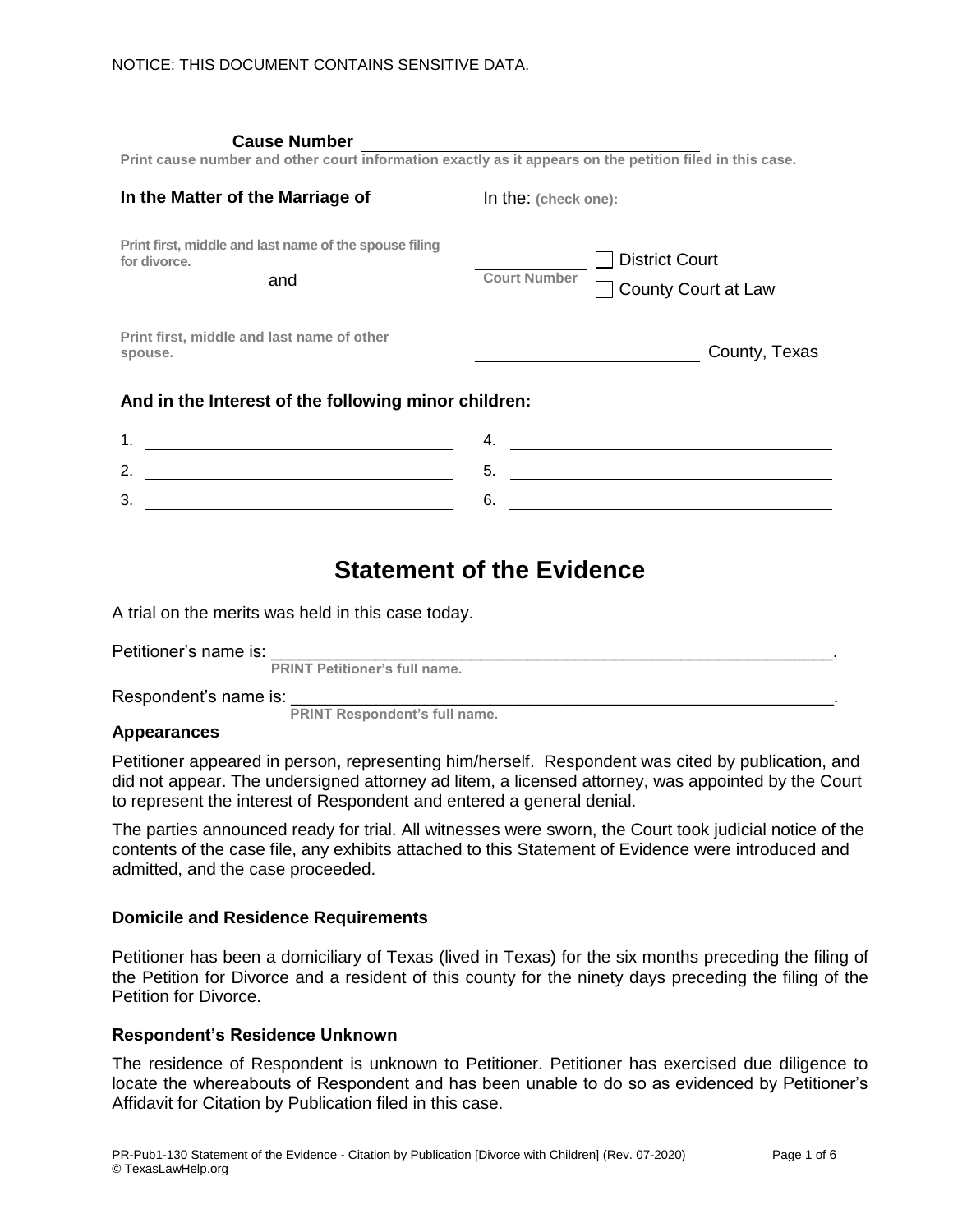| <b>Cause Number</b><br>Print cause number and other court information exactly as it appears on the petition filed in this case. |                      |                                                     |  |
|---------------------------------------------------------------------------------------------------------------------------------|----------------------|-----------------------------------------------------|--|
| In the Matter of the Marriage of                                                                                                | In the: (check one): |                                                     |  |
| Print first, middle and last name of the spouse filing<br>for divorce.<br>and                                                   | <b>Court Number</b>  | <b>District Court</b><br><b>County Court at Law</b> |  |
| Print first, middle and last name of other<br>spouse.                                                                           |                      | County, Texas                                       |  |
| And in the Interest of the following minor children:                                                                            |                      |                                                     |  |
| 1.                                                                                                                              | 4.                   |                                                     |  |
| 2.                                                                                                                              | 5.                   |                                                     |  |
| 3.                                                                                                                              | 6.                   |                                                     |  |

# **Statement of the Evidence**

A trial on the merits was held in this case today.

| Petitioner's name is: |                                      |  |
|-----------------------|--------------------------------------|--|
|                       | <b>PRINT Petitioner's full name.</b> |  |

Respondent's name is:

 **PRINT Respondent's full name.**

#### **Appearances**

Petitioner appeared in person, representing him/herself. Respondent was cited by publication, and did not appear. The undersigned attorney ad litem, a licensed attorney, was appointed by the Court to represent the interest of Respondent and entered a general denial.

The parties announced ready for trial. All witnesses were sworn, the Court took judicial notice of the contents of the case file, any exhibits attached to this Statement of Evidence were introduced and admitted, and the case proceeded.

#### **Domicile and Residence Requirements**

Petitioner has been a domiciliary of Texas (lived in Texas) for the six months preceding the filing of the Petition for Divorce and a resident of this county for the ninety days preceding the filing of the Petition for Divorce.

#### **Respondent's Residence Unknown**

The residence of Respondent is unknown to Petitioner. Petitioner has exercised due diligence to locate the whereabouts of Respondent and has been unable to do so as evidenced by Petitioner's Affidavit for Citation by Publication filed in this case.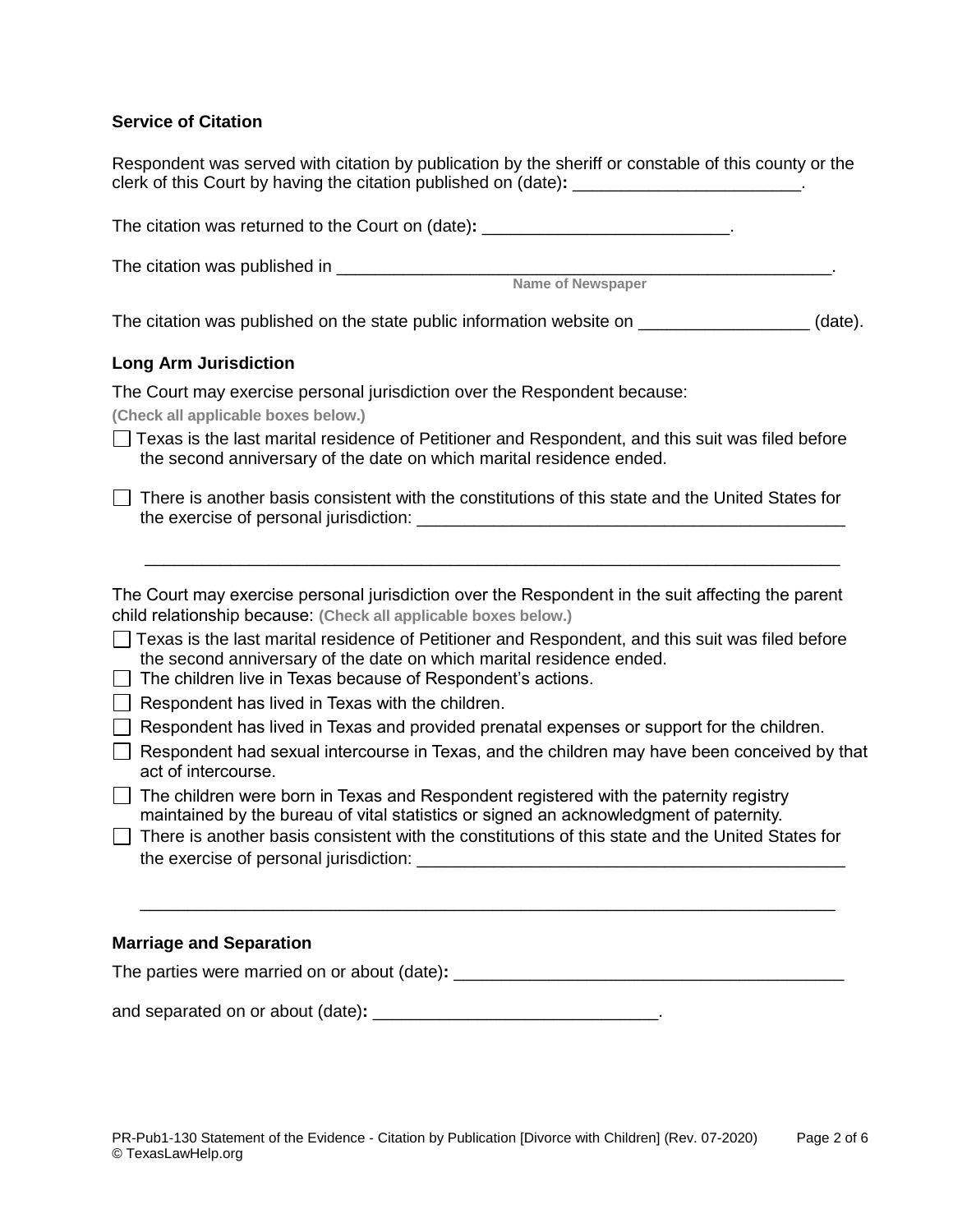### **Service of Citation**

Respondent was served with citation by publication by the sheriff or constable of this county or the clerk of this Court by having the citation published on (date):

The citation was returned to the Court on (date): **The citation was returned to the Court on (date):** The citation was published in \_\_\_\_\_\_\_\_\_\_\_\_\_\_\_\_\_\_\_\_\_\_\_\_\_\_\_\_\_\_\_\_\_\_\_\_\_\_\_\_\_\_\_\_\_\_\_\_\_\_\_\_. **Name of Newspaper** The citation was published on the state public information website on \_\_\_\_\_\_\_\_\_\_\_\_\_\_\_\_\_\_\_\_\_(date). **Long Arm Jurisdiction**  The Court may exercise personal jurisdiction over the Respondent because: **(Check all applicable boxes below.)**  $\Box$  Texas is the last marital residence of Petitioner and Respondent, and this suit was filed before the second anniversary of the date on which marital residence ended.  $\Box$  There is another basis consistent with the constitutions of this state and the United States for the exercise of personal jurisdiction: \_\_\_\_\_\_\_\_\_\_\_\_\_\_\_\_\_\_\_\_\_\_\_\_\_\_\_\_\_\_\_\_\_\_\_\_\_\_\_\_\_\_\_\_\_ \_\_\_\_\_\_\_\_\_\_\_\_\_\_\_\_\_\_\_\_\_\_\_\_\_\_\_\_\_\_\_\_\_\_\_\_\_\_\_\_\_\_\_\_\_\_\_\_\_\_\_\_\_\_\_\_\_\_\_\_\_\_\_\_\_\_\_\_\_\_\_\_\_ The Court may exercise personal jurisdiction over the Respondent in the suit affecting the parent child relationship because: **(Check all applicable boxes below.)**  $\Box$  Texas is the last marital residence of Petitioner and Respondent, and this suit was filed before the second anniversary of the date on which marital residence ended.  $\Box$  The children live in Texas because of Respondent's actions.  $\Box$  Respondent has lived in Texas with the children.  $\Box$  Respondent has lived in Texas and provided prenatal expenses or support for the children.  $\Box$  Respondent had sexual intercourse in Texas, and the children may have been conceived by that act of intercourse.  $\Box$  The children were born in Texas and Respondent registered with the paternity registry maintained by the bureau of vital statistics or signed an acknowledgment of paternity.  $\Box$  There is another basis consistent with the constitutions of this state and the United States for the exercise of personal jurisdiction: \_\_\_\_\_\_\_\_\_\_\_\_\_\_\_\_\_\_\_\_\_\_\_\_\_\_\_\_\_\_\_\_\_\_\_\_\_\_\_\_\_\_\_\_\_ \_\_\_\_\_\_\_\_\_\_\_\_\_\_\_\_\_\_\_\_\_\_\_\_\_\_\_\_\_\_\_\_\_\_\_\_\_\_\_\_\_\_\_\_\_\_\_\_\_\_\_\_\_\_\_\_\_\_\_\_\_\_\_\_\_\_\_\_\_\_\_\_\_

# **Marriage and Separation**

and separated on or about (date): **with any separated** on or about (date):

The parties were married on or about (date): **we can also well as a set of the parties**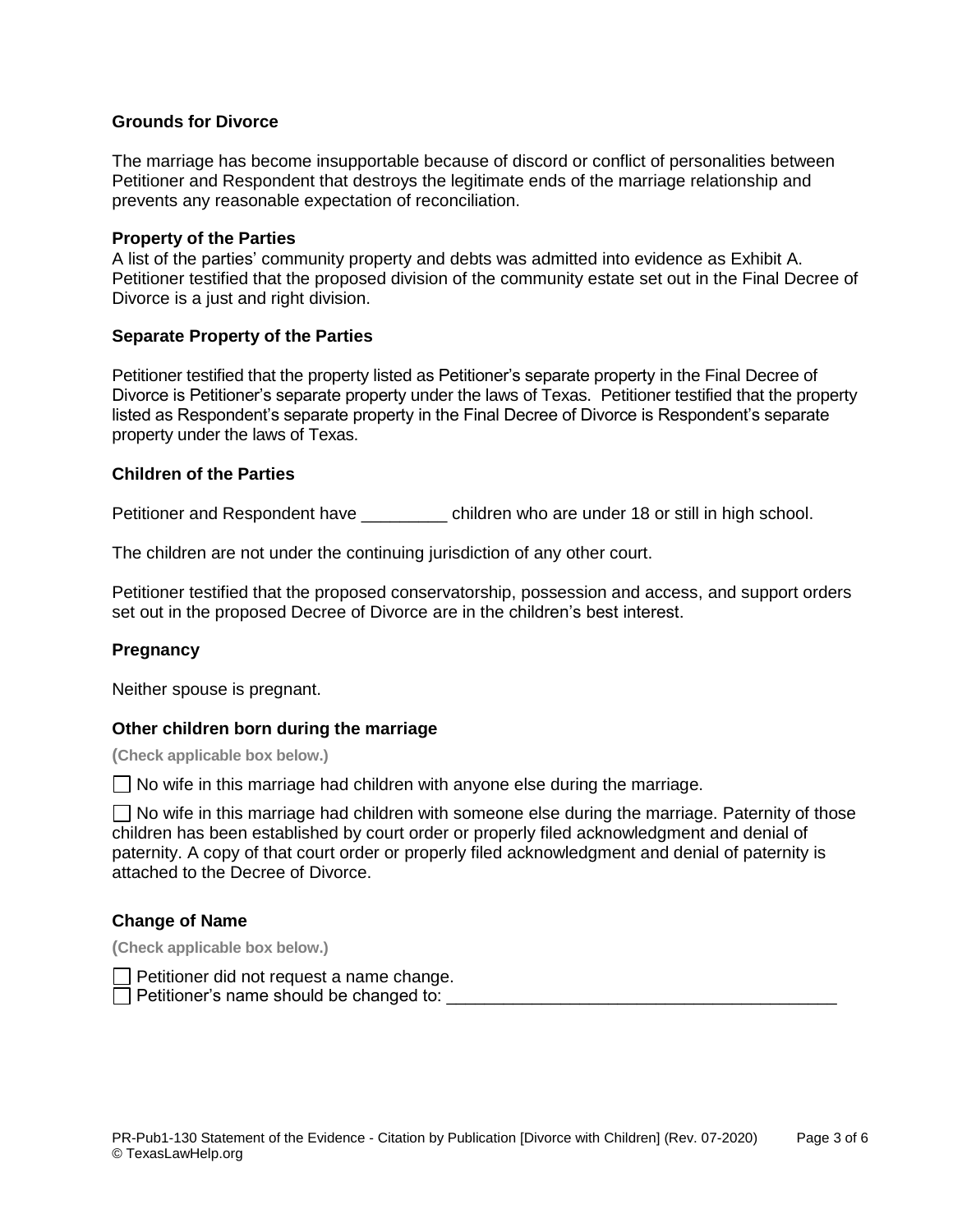#### **Grounds for Divorce**

The marriage has become insupportable because of discord or conflict of personalities between Petitioner and Respondent that destroys the legitimate ends of the marriage relationship and prevents any reasonable expectation of reconciliation.

#### **Property of the Parties**

A list of the parties' community property and debts was admitted into evidence as Exhibit A. Petitioner testified that the proposed division of the community estate set out in the Final Decree of Divorce is a just and right division.

#### **Separate Property of the Parties**

Petitioner testified that the property listed as Petitioner's separate property in the Final Decree of Divorce is Petitioner's separate property under the laws of Texas. Petitioner testified that the property listed as Respondent's separate property in the Final Decree of Divorce is Respondent's separate property under the laws of Texas.

#### **Children of the Parties**

Petitioner and Respondent have \_\_\_\_\_\_\_\_ children who are under 18 or still in high school.

The children are not under the continuing jurisdiction of any other court.

Petitioner testified that the proposed conservatorship, possession and access, and support orders set out in the proposed Decree of Divorce are in the children's best interest.

### **Pregnancy**

Neither spouse is pregnant.

#### **Other children born during the marriage**

**(Check applicable box below.)**

 $\Box$  No wife in this marriage had children with anyone else during the marriage.

 $\Box$  No wife in this marriage had children with someone else during the marriage. Paternity of those children has been established by court order or properly filed acknowledgment and denial of paternity. A copy of that court order or properly filed acknowledgment and denial of paternity is attached to the Decree of Divorce.

#### **Change of Name**

**(Check applicable box below.)**

Petitioner did not request a name change.

Petitioner's name should be changed to: \_\_\_\_\_\_\_\_\_\_\_\_\_\_\_\_\_\_\_\_\_\_\_\_\_\_\_\_\_\_\_\_\_\_\_\_\_\_\_\_\_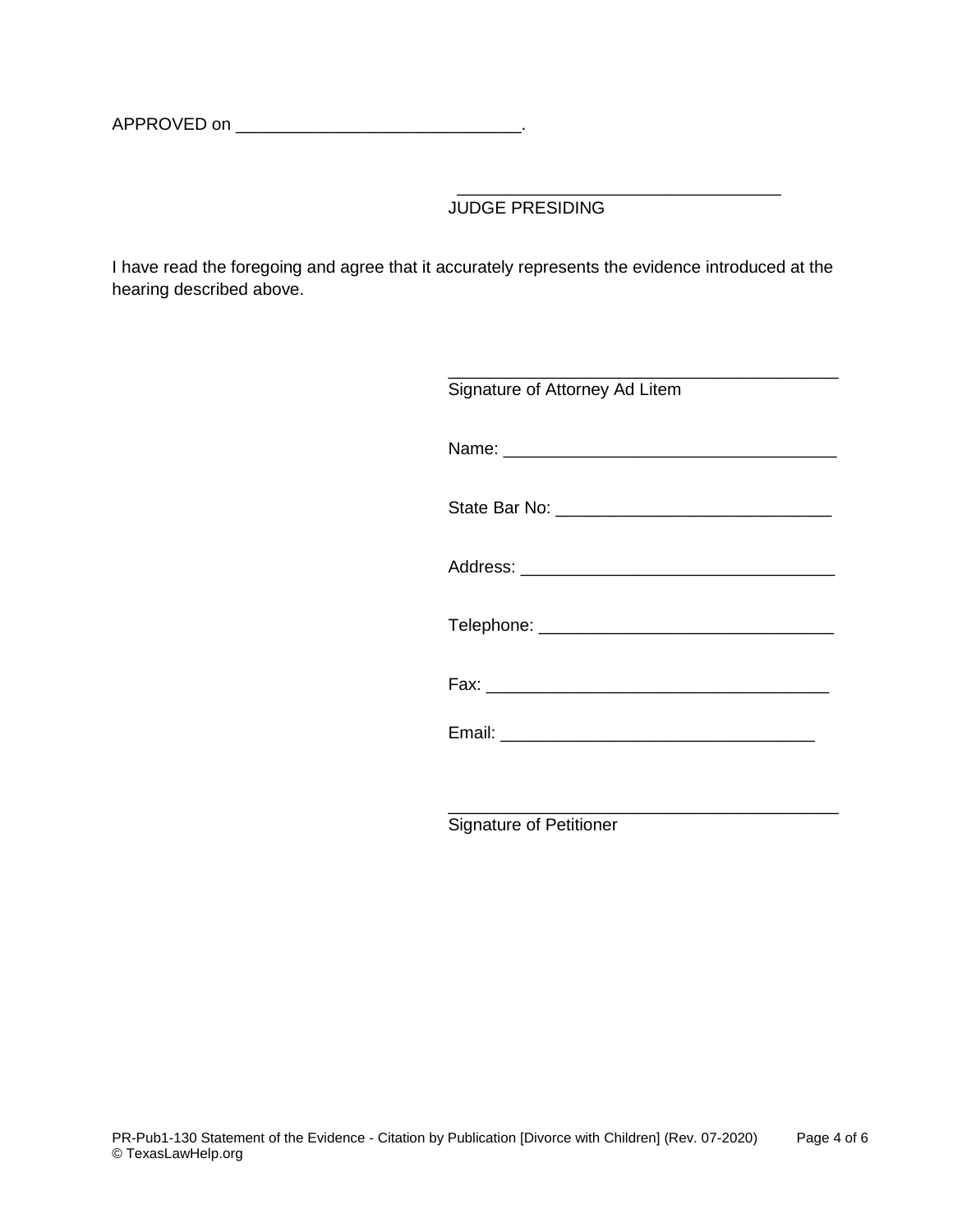APPROVED on \_\_\_\_\_\_\_\_\_\_\_\_\_\_\_\_\_\_\_\_\_\_\_\_\_\_\_\_\_\_.

JUDGE PRESIDING

\_\_\_\_\_\_\_\_\_\_\_\_\_\_\_\_\_\_\_\_\_\_\_\_\_\_\_\_\_\_\_\_\_\_

I have read the foregoing and agree that it accurately represents the evidence introduced at the hearing described above.

| Signature of Attorney Ad Litem |
|--------------------------------|
|                                |
|                                |
|                                |
|                                |
|                                |
|                                |
|                                |

Signature of Petitioner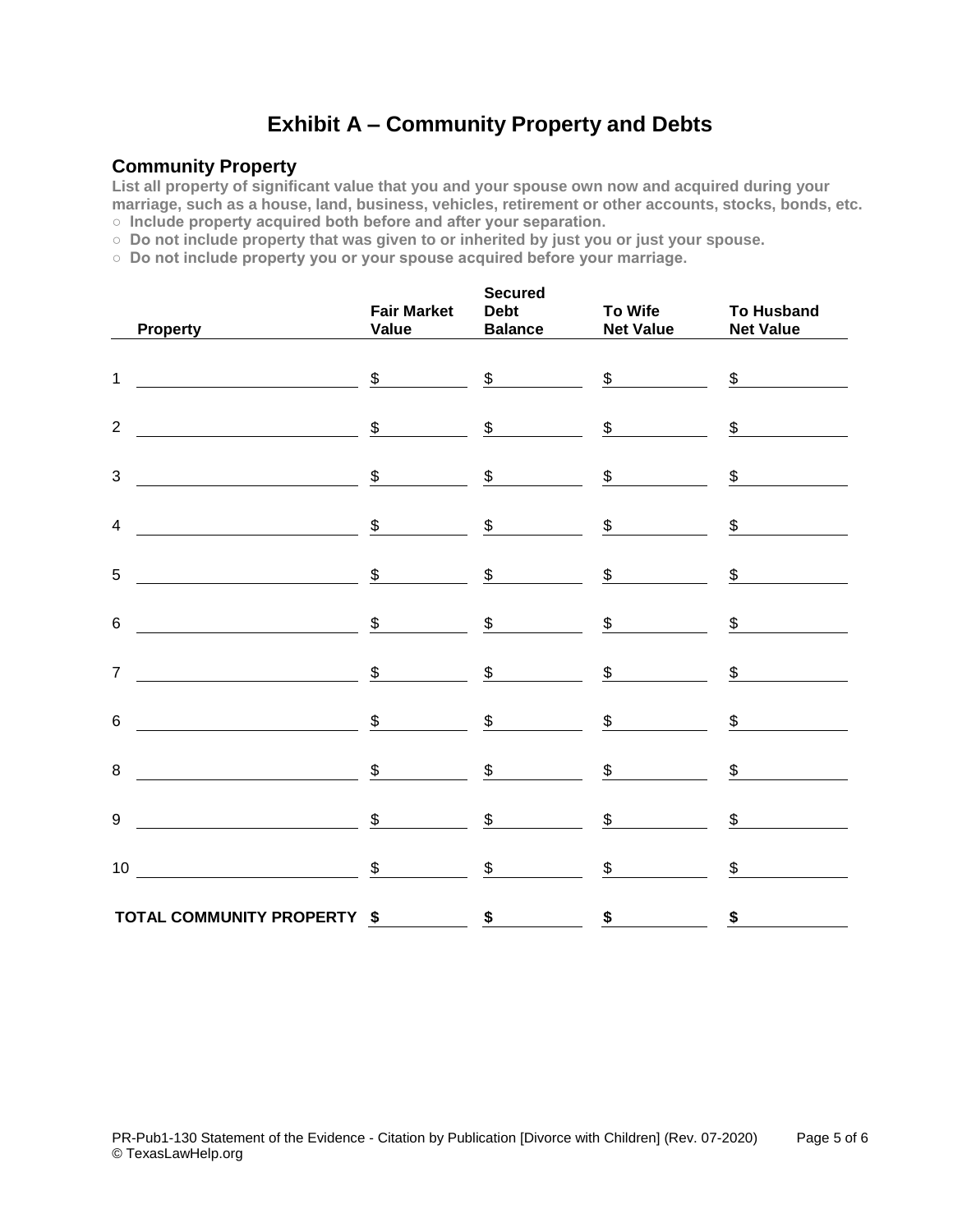# **Exhibit A – Community Property and Debts**

## **Community Property**

**List all property of significant value that you and your spouse own now and acquired during your marriage, such as a house, land, business, vehicles, retirement or other accounts, stocks, bonds, etc. ○ Include property acquired both before and after your separation.**

**○ Do not include property that was given to or inherited by just you or just your spouse.**

**○ Do not include property you or your spouse acquired before your marriage.**

| <b>Property</b>                                                                                                                                                                                                                                                                                                                                                                                                                                                                                                  | <b>Fair Market</b><br>Value | <b>Secured</b>              | Debt To Wife To Husband<br>Balance Net Value Net Value |                                   |
|------------------------------------------------------------------------------------------------------------------------------------------------------------------------------------------------------------------------------------------------------------------------------------------------------------------------------------------------------------------------------------------------------------------------------------------------------------------------------------------------------------------|-----------------------------|-----------------------------|--------------------------------------------------------|-----------------------------------|
| <u> 1980 - Andrea Barbara, poeta espainiar político e a f</u><br>$\mathbf{1}$                                                                                                                                                                                                                                                                                                                                                                                                                                    |                             |                             | $\frac{\$}{\$}$ $\frac{\$}{\$}$ $\frac{\$}{\$}$        | $\frac{\text{I}}{\text{I}}$       |
| $\begin{tabular}{c cccccc} \hline \multicolumn{3}{c }{\textbf{\textcolor{red}{\bf{5}}}} & \multicolumn{3}{c }{\textbf{\textcolor{red}{\bf{5}}}} & \multicolumn{3}{c }{\textbf{\textcolor{red}{\bf{5}}}} & \multicolumn{3}{c }{\textbf{\textcolor{red}{\bf{5}}}} & \multicolumn{3}{c }{\textbf{\textcolor{red}{\bf{5}}}} & \multicolumn{3}{c }{\textbf{\textcolor{red}{\bf{5}}}} & \multicolumn{3}{c }{\textbf{\textcolor{red}{\bf{5}}}} & \multicolumn{3}{c }{\textbf{\textcolor{red}{\bf{5}}$<br>$\overline{2}$ |                             |                             |                                                        |                                   |
| $\frac{\$}{\$}$ $\frac{\$}{\$}$ $\frac{\$}{\$}$ $\frac{\$}{\$}$<br>3                                                                                                                                                                                                                                                                                                                                                                                                                                             |                             |                             |                                                        | \$                                |
| $\begin{array}{ccccccc}\n\text{\textsterling}\xspace & \text{\textsterling}\xspace & \text{\textsterling}\xspace & \text{\textsterling}\xspace & \text{\textsterling}\xspace & \text{\textsterling}\xspace & \text{\textstr\_}\xspace\end{array}$<br>$\overline{4}$                                                                                                                                                                                                                                              |                             |                             |                                                        | $\frac{\mathcal{L}}{\mathcal{L}}$ |
| $\frac{1}{2}$ $\frac{1}{2}$ $\frac{1}{2}$ $\frac{1}{2}$ $\frac{1}{2}$ $\frac{1}{2}$ $\frac{1}{2}$ $\frac{1}{2}$ $\frac{1}{2}$ $\frac{1}{2}$ $\frac{1}{2}$ $\frac{1}{2}$ $\frac{1}{2}$ $\frac{1}{2}$ $\frac{1}{2}$ $\frac{1}{2}$ $\frac{1}{2}$ $\frac{1}{2}$ $\frac{1}{2}$ $\frac{1}{2}$ $\frac{1}{2}$ $\frac{1}{2}$<br>5                                                                                                                                                                                         |                             |                             | <u>and the state</u>                                   | $\frac{\mathcal{L}}{\mathcal{L}}$ |
| $\frac{1}{1}$ $\frac{1}{1}$ $\frac{1}{1}$ $\frac{1}{1}$ $\frac{1}{1}$ $\frac{1}{1}$ $\frac{1}{1}$ $\frac{1}{1}$ $\frac{1}{1}$ $\frac{1}{1}$ $\frac{1}{1}$ $\frac{1}{1}$ $\frac{1}{1}$ $\frac{1}{1}$ $\frac{1}{1}$ $\frac{1}{1}$ $\frac{1}{1}$ $\frac{1}{1}$ $\frac{1}{1}$ $\frac{1}{1}$ $\frac{1}{1}$ $\frac{1}{1}$<br>6                                                                                                                                                                                         |                             |                             |                                                        | $\frac{\text{I}}{\text{I}}$       |
| $\frac{1}{2}$ $\frac{1}{2}$ $\frac{1}{2}$ $\frac{1}{2}$ $\frac{1}{2}$ $\frac{1}{2}$ $\frac{1}{2}$ $\frac{1}{2}$ $\frac{1}{2}$ $\frac{1}{2}$ $\frac{1}{2}$ $\frac{1}{2}$ $\frac{1}{2}$ $\frac{1}{2}$ $\frac{1}{2}$ $\frac{1}{2}$ $\frac{1}{2}$ $\frac{1}{2}$ $\frac{1}{2}$ $\frac{1}{2}$ $\frac{1}{2}$ $\frac{1}{2}$<br>$\overline{7}$                                                                                                                                                                            |                             |                             |                                                        |                                   |
| $\frac{1}{2}$ $\frac{1}{2}$ $\frac{1}{2}$ $\frac{1}{2}$ $\frac{1}{2}$ $\frac{1}{2}$ $\frac{1}{2}$ $\frac{1}{2}$ $\frac{1}{2}$ $\frac{1}{2}$ $\frac{1}{2}$ $\frac{1}{2}$ $\frac{1}{2}$ $\frac{1}{2}$ $\frac{1}{2}$ $\frac{1}{2}$ $\frac{1}{2}$ $\frac{1}{2}$ $\frac{1}{2}$ $\frac{1}{2}$ $\frac{1}{2}$ $\frac{1}{2}$<br>6                                                                                                                                                                                         |                             |                             |                                                        | $\frac{1}{2}$                     |
| $\frac{\text{I}}{\text{I}}$ and $\frac{\text{I}}{\text{I}}$ and $\frac{\text{I}}{\text{I}}$ and $\frac{\text{I}}{\text{I}}$ and $\frac{\text{I}}{\text{I}}$ and $\frac{\text{I}}{\text{I}}$ and $\frac{\text{I}}{\text{I}}$ and $\frac{\text{I}}{\text{I}}$ and $\frac{\text{I}}{\text{I}}$ and $\frac{\text{I}}{\text{I}}$ and $\frac{\text{I}}{\text{I}}$ and $\frac{\text{I}}{\text{I$<br>8                                                                                                                   |                             |                             |                                                        | \$                                |
| $\frac{\text{I}}{\text{I}}$ $\frac{\text{I}}{\text{I}}$ $\frac{\text{I}}{\text{I}}$ $\frac{\text{I}}{\text{I}}$ $\frac{\text{I}}{\text{I}}$ $\frac{\text{I}}{\text{I}}$ $\frac{\text{I}}{\text{I}}$ $\frac{\text{I}}{\text{I}}$ $\frac{\text{I}}{\text{I}}$ $\frac{\text{I}}{\text{I}}$ $\frac{\text{I}}{\text{I}}$ $\frac{\text{I}}{\text{I}}$ $\frac{\text{I}}{\text{I}}$ $\frac{\text{I}}{\text{I}}$ $\frac{\text{I}}{\text{$<br>9                                                                            |                             | $\overline{\phantom{a}}$ \$ |                                                        | \$                                |
| $\sim$ $\sim$ $\sim$ $\sim$ $\sim$<br>10                                                                                                                                                                                                                                                                                                                                                                                                                                                                         |                             |                             | $\sim$                                                 | \$                                |
| TOTAL COMMUNITY PROPERTY \$                                                                                                                                                                                                                                                                                                                                                                                                                                                                                      |                             |                             | $\frac{\text{S}}{\text{S}}$ 5                          | $\frac{\$}{}$                     |